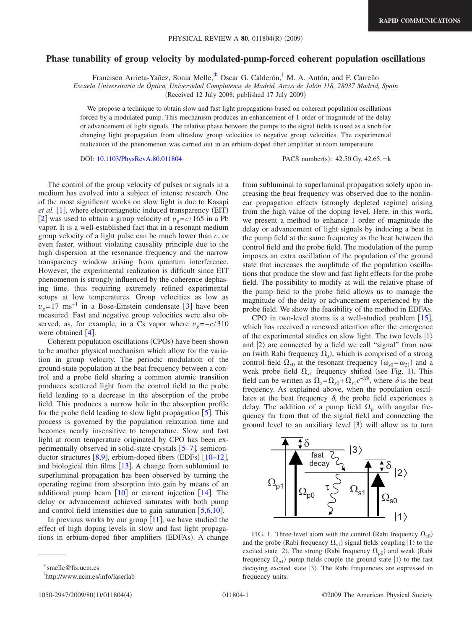## **Phase tunability of group velocity by modulated-pump-forced coherent population oscillations**

Francisco Arrieta-Yañez, Sonia Melle[,\\*](#page-0-0) Oscar G. Calderón[,†](#page-0-1) M. A. Antón, and F. Carreño

*Escuela Universitaria de Óptica, Universidad Complutense de Madrid, Arcos de Jalón 118, 28037 Madrid, Spain*

(Received 12 July 2008; published 17 July 2009)

We propose a technique to obtain slow and fast light propagations based on coherent population oscillations forced by a modulated pump. This mechanism produces an enhancement of 1 order of magnitude of the delay or advancement of light signals. The relative phase between the pumps to the signal fields is used as a knob for changing light propagation from ultraslow group velocities to negative group velocities. The experimental realization of the phenomenon was carried out in an erbium-doped fiber amplifier at room temperature.

DOI: [10.1103/PhysRevA.80.011804](http://dx.doi.org/10.1103/PhysRevA.80.011804)

PACS number(s): 42.50.Gy, 42.65. - k

The control of the group velocity of pulses or signals in a medium has evolved into a subject of intense research. One of the most significant works on slow light is due to Kasapi *et al.* [[1](#page-3-0)], where electromagnetic induced transparency (EIT) [[2](#page-3-1)] was used to obtain a group velocity of  $v_g = c/165$  in a Pb vapor. It is a well-established fact that in a resonant medium group velocity of a light pulse can be much lower than *c*, or even faster, without violating causality principle due to the high dispersion at the resonance frequency and the narrow transparency window arising from quantum interference. However, the experimental realization is difficult since EIT phenomenon is strongly influenced by the coherence dephasing time, thus requiring extremely refined experimental setups at low temperatures. Group velocities as low as  $v_g$ =17 ms<sup>-1</sup> in a Bose-Einstein condensate [[3](#page-3-2)] have been measured. Fast and negative group velocities were also observed, as, for example, in a Cs vapor where  $v_g = -c/310$ were obtained  $[4]$  $[4]$  $[4]$ .

Coherent population oscillations (CPOs) have been shown to be another physical mechanism which allow for the variation in group velocity. The periodic modulation of the ground-state population at the beat frequency between a control and a probe field sharing a common atomic transition produces scattered light from the control field to the probe field leading to a decrease in the absorption of the probe field. This produces a narrow hole in the absorption profile for the probe field leading to slow light propagation  $[5]$  $[5]$  $[5]$ . This process is governed by the population relaxation time and becomes nearly insensitive to temperature. Slow and fast light at room temperature originated by CPO has been experimentally observed in solid-state crystals  $\lceil 5-7 \rceil$  $\lceil 5-7 \rceil$  $\lceil 5-7 \rceil$ , semiconductor structures  $[8,9]$  $[8,9]$  $[8,9]$  $[8,9]$ , erbium-doped fibers (EDFs)  $[10-12]$  $[10-12]$  $[10-12]$ , and biological thin films  $[13]$  $[13]$  $[13]$ . A change from subluminal to superluminal propagation has been observed by turning the operating regime from absorption into gain by means of an additional pump beam  $[10]$  $[10]$  $[10]$  or current injection  $[14]$  $[14]$  $[14]$ . The delay or advancement achieved saturates with both pump and control field intensities due to gain saturation  $[5,6,10]$  $[5,6,10]$  $[5,6,10]$  $[5,6,10]$  $[5,6,10]$ .

In previous works by our group  $[11]$  $[11]$  $[11]$ , we have studied the effect of high doping levels in slow and fast light propagations in erbium-doped fiber amplifiers (EDFAs). A change

from subluminal to superluminal propagation solely upon increasing the beat frequency was observed due to the nonlinear propagation effects (strongly depleted regime) arising from the high value of the doping level. Here, in this work, we present a method to enhance 1 order of magnitude the delay or advancement of light signals by inducing a beat in the pump field at the same frequency as the beat between the control field and the probe field. The modulation of the pump imposes an extra oscillation of the population of the ground state that increases the amplitude of the population oscillations that produce the slow and fast light effects for the probe field. The possibility to modify at will the relative phase of the pump field to the probe field allows us to manage the magnitude of the delay or advancement experienced by the probe field. We show the feasibility of the method in EDFAs.

CPO in two-level atoms is a well-studied problem  $[15]$  $[15]$  $[15]$ , which has received a renewed attention after the emergence of the experimental studies on slow light. The two levels  $|1\rangle$ and  $|2\rangle$  are connected by a field we call "signal" from now on (with Rabi frequency  $\Omega_s$ ), which is comprised of a strong control field  $\Omega_{s0}$  at the resonant frequency  $(\omega_{s0} = \omega_{21})$  and a weak probe field  $\Omega_{s1}$  $\Omega_{s1}$  $\Omega_{s1}$  frequency shifted (see Fig. 1). This field can be written as  $\Omega_s = \Omega_{s0} + \Omega_{s1}e^{-i\delta t}$ , where  $\delta$  is the beat frequency. As explained above, when the population oscillates at the beat frequency  $\delta$ , the probe field experiences a delay. The addition of a pump field  $\Omega_p$  with angular frequency far from that of the signal field and connecting the ground level to an auxiliary level  $|3\rangle$  will allow us to turn

<span id="page-0-2"></span>

FIG. 1. Three-level atom with the control (Rabi frequency  $\Omega_{s0}$ ) and the probe (Rabi frequency  $\Omega_{s1}$ ) signal fields coupling  $|1\rangle$  to the excited state  $|2\rangle$ . The strong (Rabi frequency  $\Omega_{p0}$ ) and weak (Rabi frequency  $\Omega_{p1}$ ) pump fields couple the ground state  $|1\rangle$  to the fast decaying excited state  $|3\rangle$ . The Rabi frequencies are expressed in frequency units.

<sup>\*</sup>smelle@fis.ucm.es

<span id="page-0-1"></span><span id="page-0-0"></span><sup>†</sup> http://www.ucm.es/info/laserlab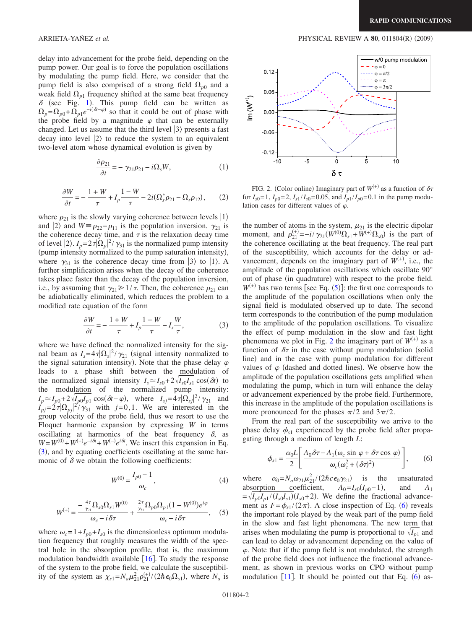delay into advancement for the probe field, depending on the pump power. Our goal is to force the population oscillations by modulating the pump field. Here, we consider that the pump field is also comprised of a strong field  $\Omega_{p0}$  and a weak field  $\Omega_{p1}$  frequency shifted at the same beat frequency  $\delta$  (see Fig. [1](#page-0-2)). This pump field can be written as  $\Omega_p = \Omega_{p0} + \Omega_{p1}e^{-i(\delta t - \varphi)}$  so that it could be out of phase with the probe field by a magnitude  $\varphi$  that can be externally changed. Let us assume that the third level  $|3\rangle$  presents a fast decay into level  $|2\rangle$  to reduce the system to an equivalent two-level atom whose dynamical evolution is given by

$$
\frac{\partial \rho_{21}}{\partial t} = -\gamma_{21}\rho_{21} - i\Omega_s W,\tag{1}
$$

$$
\frac{\partial W}{\partial t} = -\frac{1+W}{\tau} + I_p \frac{1-W}{\tau} - 2i(\Omega_s^* \rho_{21} - \Omega_s \rho_{12}),\tag{2}
$$

where  $\rho_{21}$  is the slowly varying coherence between levels  $|1\rangle$ and  $|2\rangle$  and  $W \equiv \rho_{22} - \rho_{11}$  is the population inversion.  $\gamma_{21}$  is the coherence decay time, and  $\tau$  is the relaxation decay time of level  $|2\rangle$ .  $I_p = 2\tau |\Omega_p|^2 / \gamma_{31}$  is the normalized pump intensity (pump intensity normalized to the pump saturation intensity), where  $\gamma_{31}$  is the coherence decay time from  $|3\rangle$  to  $|1\rangle$ . A further simplification arises when the decay of the coherence takes place faster than the decay of the population inversion, i.e., by assuming that  $\gamma_{21} \geq 1/\tau$ . Then, the coherence  $\rho_{21}$  can be adiabatically eliminated, which reduces the problem to a modified rate equation of the form

$$
\frac{\partial W}{\partial t} = -\frac{1+W}{\tau} + I_p \frac{1-W}{\tau} - I_s \frac{W}{\tau},\tag{3}
$$

<span id="page-1-0"></span>where we have defined the normalized intensity for the signal beam as  $I_s = 4\tau |\Omega_s|^2 / \gamma_{21}$  (signal intensity normalized to the signal saturation intensity). Note that the phase delay  $\varphi$ leads to a phase shift between the modulation of the normalized signal intensity  $I_s \simeq I_{s0} + 2\sqrt{I_{s0}I_{s1}} \cos(\delta t)$  to the modulation of the normalized pump intensity:<br>  $I_p \approx I_{p0} + 2\sqrt{I_{p0}I_{p1}} \cos(\delta t - \varphi)$ , where  $I_{sj} = 4\tau |\Omega_{sj}|^2 / \gamma_{21}$  and  $I_{pj} = 2\tau |\Omega_{pj}|^2 / \gamma_{31}$  with  $j = 0, 1$ . We are interested in the group velocity of the probe field, thus we resort to use the Floquet harmonic expansion by expressing *W* in terms oscillating at harmonics of the beat frequency  $\delta$ , as  $W = W^{(0)} + W^{(+)}e^{-i\delta t} + W^{(-)}e^{i\delta t}$ . We insert this expansion in Eq. ([3](#page-1-0)), and by equating coefficients oscillating at the same harmonic of  $\delta$  we obtain the following coefficients:

$$
W^{(0)} = \frac{I_{p0} - 1}{\omega_c},
$$
\n(4)

<span id="page-1-1"></span>
$$
W^{(+)} = \frac{-\frac{4\tau}{\gamma_{21}}\Omega_{s0}\Omega_{s1}W^{(0)}}{\omega_c - i\delta\tau} + \frac{\frac{2\tau}{\gamma_{31}}\Omega_{p0}\Omega_{p1}(1 - W^{(0)})e^{i\varphi}}{\omega_c - i\delta\tau}, \quad (5)
$$

where  $\omega_c = 1 + I_{p0} + I_{s0}$  is the dimensionless optimum modulation frequency that roughly measures the width of the spectral hole in the absorption profile, that is, the maximum modulation bandwidth available  $[16]$  $[16]$  $[16]$ . To study the response of the system to the probe field, we calculate the susceptibility of the system as  $\chi_{s1} = N_a \mu_{21}^2 \rho_{21}^{(+)} / (2 \hbar \epsilon_0 \Omega_{s1})$ , where  $N_a$  is

<span id="page-1-2"></span>

FIG. 2. (Color online) Imaginary part of  $W^{(+)}$  as a function of  $\delta \tau$ for  $I_{s0} = 1$ ,  $I_{p0} = 2$ ,  $I_{s1}/I_{s0} = 0.05$ , and  $I_{p1}/I_{p0} = 0.1$  in the pump modulation cases for different values of  $\varphi$ .

the number of atoms in the system,  $\mu_{21}$  is the electric dipolar moment, and  $\rho_{21}^{(+)} = -i/\gamma_{21}(W^{(0)}\Omega_{s1} + W^{(+)}\Omega_{s0})$  is the part of the coherence oscillating at the beat frequency. The real part of the susceptibility, which accounts for the delay or advancement, depends on the imaginary part of  $W^{(+)}$ , i.e., the amplitude of the population oscillations which oscillate 90° out of phase (in quadrature) with respect to the probe field.  $W^{(+)}$  has two terms [see Eq. ([5](#page-1-1))]: the first one corresponds to the amplitude of the population oscillations when only the signal field is modulated observed up to date. The second term corresponds to the contribution of the pump modulation to the amplitude of the population oscillations. To visualize the effect of pump modulation in the slow and fast light phenomena we plot in Fig. [2](#page-1-2) the imaginary part of  $W^{(+)}$  as a function of  $\delta\tau$  in the case without pump modulation (solid line) and in the case with pump modulation for different values of  $\varphi$  (dashed and dotted lines). We observe how the amplitude of the population oscillations gets amplified when modulating the pump, which in turn will enhance the delay or advancement experienced by the probe field. Furthermore, this increase in the amplitude of the population oscillations is more pronounced for the phases  $\pi/2$  and  $3\pi/2$ .

From the real part of the susceptibility we arrive to the phase delay  $\phi_{s1}$  experienced by the probe field after propagating through a medium of length *L*:

$$
\phi_{s1} = \frac{\alpha_0 L}{2} \left[ \frac{A_0 \delta \tau - A_1 (\omega_c \sin \varphi + \delta \tau \cos \varphi)}{\omega_c (\omega_c^2 + (\delta \tau)^2)} \right],\qquad(6)
$$

<span id="page-1-3"></span>where  $\alpha_0 = N_a \omega_{21} \mu_{21}^2 / (2 \hbar c \epsilon_0 \gamma_{21})$  is the unsaturated abs<u>orption</u> coefficient,  $A_0 = I_{s0}(I_{p0}-1)$ , and  $A_1$  $=\sqrt{I_{p0}I_{p1}/(I_{s0}I_{s1})}(I_{s0}+2)$ . We define the fractional advancement as  $F = \phi_{s1} / (2\pi)$ . A close inspection of Eq. ([6](#page-1-3)) reveals the important role played by the weak part of the pump field in the slow and fast light phenomena. The new term that arises when modulating the pump is proportional to  $\sqrt{I_{p1}}$  and can lead to delay or advancement depending on the value of  $\varphi$ . Note that if the pump field is not modulated, the strength of the probe field does not influence the fractional advancement, as shown in previous works on CPO without pump modulation  $[11]$  $[11]$  $[11]$ . It should be pointed out that Eq. ([6](#page-1-3)) as-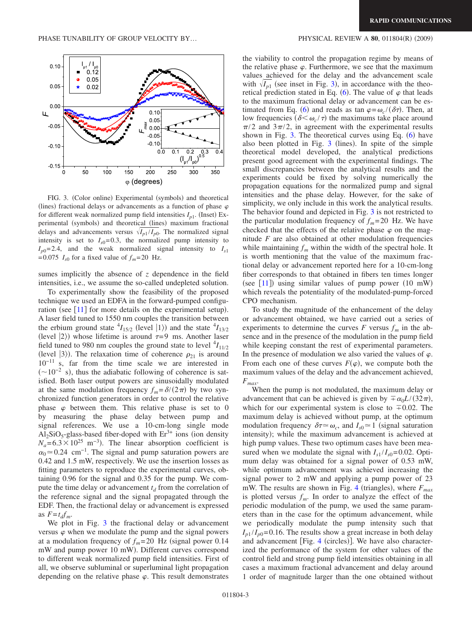$(2009)$ 

<span id="page-2-0"></span>

FIG. 3. (Color online) Experimental (symbols) and theoretical (lines) fractional delays or advancements as a function of phase  $\varphi$ for different weak normalized pump field intensities  $I_{p1}$ . (Inset) Experimental (symbols) and theoretical (lines) maximum fractional delays and advancements versus  $\sqrt{I_{p1}}/I_{p0}$ . The normalized signal intensity is set to  $I_{s0} = 0.3$ , the normalized pump intensity to  $I_{p0}=2.4$ , and the weak normalized signal intensity to  $I_{s1}$ =0.075  $I_{s0}$  for a fixed value of  $f_m$ =20 Hz.

sumes implicitly the absence of *z* dependence in the field intensities, i.e., we assume the so-called undepleted solution.

To experimentally show the feasibility of the proposed technique we used an EDFA in the forward-pumped configuration (see  $[11]$  $[11]$  $[11]$  for more details on the experimental setup). A laser field tuned to 1550 nm couples the transition between the erbium ground state  ${}^{4}I_{15/2}$  (level  $|1\rangle$ ) and the state  ${}^{4}I_{13/2}$ (level  $|2\rangle$ ) whose lifetime is around  $\tau=9$  ms. Another laser field tuned to 980 nm couples the ground state to level  $^{4}I_{11/2}$ (level  $|3\rangle$ ). The relaxation time of coherence  $\rho_{21}$  is around  $10^{-11}$  s, far from the time scale we are interested in  $(\sim 10^{-2}$  s), thus the adiabatic following of coherence is satisfied. Both laser output powers are sinusoidally modulated at the same modulation frequency  $f_m = \delta/(2\pi)$  by two synchronized function generators in order to control the relative phase  $\varphi$  between them. This relative phase is set to 0 by measuring the phase delay between pump and signal references. We use a 10-cm-long single mode  $Al_2SiO_5-glass-based$  fiber-doped with  $Er^{3+}$  ions (ion density  $N_a = 6.3 \times 10^{25}$  m<sup>-3</sup>). The linear absorption coefficient is  $\alpha_0 \approx 0.24$  cm<sup>-1</sup>. The signal and pump saturation powers are 0.42 and 1.5 mW, respectively. We use the insertion losses as fitting parameters to reproduce the experimental curves, obtaining 0.96 for the signal and 0.35 for the pump. We compute the time delay or advancement  $t<sub>d</sub>$  from the correlation of the reference signal and the signal propagated through the EDF. Then, the fractional delay or advancement is expressed as  $F = t_d f_m$ .

We plot in Fig. [3](#page-2-0) the fractional delay or advancement versus  $\varphi$  when we modulate the pump and the signal powers at a modulation frequency of  $f_m = 20$  Hz (signal power 0.14) mW and pump power 10 mW). Different curves correspond to different weak normalized pump field intensities. First of all, we observe subluminal or superluminal light propagation depending on the relative phase  $\varphi$ . This result demonstrates the viability to control the propagation regime by means of the relative phase  $\varphi$ . Furthermore, we see that the maximum values achieved for the delay and the advancement scale with  $\sqrt{I_{p1}}$  (see inset in Fig. [3](#page-2-0)), in accordance with the theo-retical prediction stated in Eq. ([6](#page-1-3)). The value of  $\varphi$  that leads to the maximum fractional delay or advancement can be es-timated from Eq. ([6](#page-1-3)) and reads as tan  $\varphi = \omega_c/(\delta \tau)$ . Then, at low frequencies  $(\delta \le \omega_c/\tau)$  the maximums take place around  $\pi/2$  and  $3\pi/2$ , in agreement with the experimental results shown in Fig. [3.](#page-2-0) The theoretical curves using Eq.  $(6)$  $(6)$  $(6)$  have also been plotted in Fig.  $3$  (lines). In spite of the simple theoretical model developed, the analytical predictions present good agreement with the experimental findings. The small discrepancies between the analytical results and the experiments could be fixed by solving numerically the propagation equations for the normalized pump and signal intensities and the phase delay. However, for the sake of simplicity, we only include in this work the analytical results. The behavior found and depicted in Fig. [3](#page-2-0) is not restricted to the particular modulation frequency of  $f_m = 20$  Hz. We have checked that the effects of the relative phase  $\varphi$  on the magnitude *F* are also obtained at other modulation frequencies while maintaining  $f_m$  within the width of the spectral hole. It is worth mentioning that the value of the maximum fractional delay or advancement reported here for a 10-cm-long fiber corresponds to that obtained in fibers ten times longer (see  $[11]$  $[11]$  $[11]$ ) using similar values of pump power  $(10 \text{ mW})$ which reveals the potentiality of the modulated-pump-forced CPO mechanism.

To study the magnitude of the enhancement of the delay or advancement obtained, we have carried out a series of experiments to determine the curves  $F$  versus  $f_m$  in the absence and in the presence of the modulation in the pump field while keeping constant the rest of experimental parameters. In the presence of modulation we also varied the values of  $\varphi$ . From each one of these curves  $F(\varphi)$ , we compute both the maximum values of the delay and the advancement achieved, *Fmax*.

When the pump is not modulated, the maximum delay or advancement that can be achieved is given by  $\pm \alpha_0 L/(32\pi)$ , which for our experimental system is close to  $\pm 0.02$ . The maximum delay is achieved without pump, at the optimum modulation frequency  $\delta \tau \simeq \omega_c$ , and  $I_{s0} \simeq 1$  (signal saturation intensity); while the maximum advancement is achieved at high pump values. These two optimum cases have been measured when we modulate the signal with  $I_{s1}/I_{s0}=0.02$ . Optimum delay was obtained for a signal power of 0.53 mW, while optimum advancement was achieved increasing the signal power to 2 mW and applying a pump power of 23 mW. The results are shown in Fig. [4](#page-3-16) (triangles), where  $F_{max}$ is plotted versus  $f_m$ . In order to analyze the effect of the periodic modulation of the pump, we used the same parameters than in the case for the optimum advancement, while we periodically modulate the pump intensity such that  $I_{p1}/I_{p0}=0.16$ . The results show a great increase in both delay and advancement [Fig. [4](#page-3-16) (circles)]. We have also characterized the performance of the system for other values of the control field and strong pump field intensities obtaining in all cases a maximum fractional advancement and delay around 1 order of magnitude larger than the one obtained without